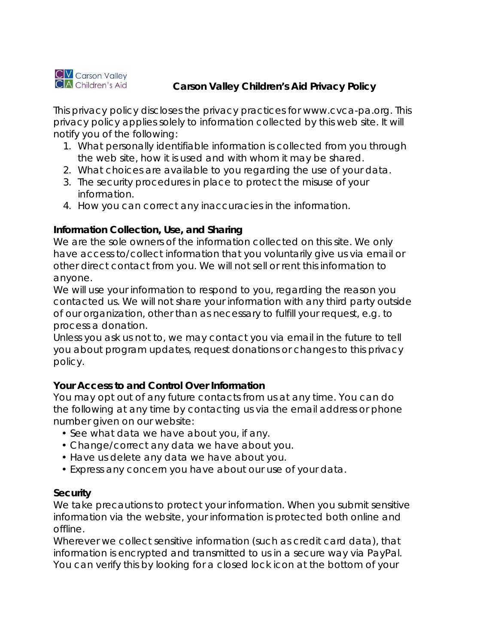

# **CA** Children's Aid **Carson Valley Children's Aid Privacy Policy**

This privacy policy discloses the privacy practices for www.cvca-pa.org. This privacy policy applies solely to information collected by this web site. It will notify you of the following:

- 1. What personally identifiable information is collected from you through the web site, how it is used and with whom it may be shared.
- 2. What choices are available to you regarding the use of your data.
- 3. The security procedures in place to protect the misuse of your information.
- 4. How you can correct any inaccuracies in the information.

# **Information Collection, Use, and Sharing**

We are the sole owners of the information collected on this site. We only have access to/collect information that you voluntarily give us via email or other direct contact from you. We will not sell or rent this information to anyone.

We will use your information to respond to you, regarding the reason you contacted us. We will not share your information with any third party outside of our organization, other than as necessary to fulfill your request, e.g. to process a donation.

Unless you ask us not to, we may contact you via email in the future to tell you about program updates, request donations or changes to this privacy policy.

# **Your Access to and Control Over Information**

You may opt out of any future contacts from us at any time. You can do the following at any time by contacting us via the email address or phone number given on our website:

- See what data we have about you, if any.
- Change/correct any data we have about you.
- Have us delete any data we have about you.
- Express any concern you have about our use of your data.

#### **Security**

We take precautions to protect your information. When you submit sensitive information via the website, your information is protected both online and offline.

Wherever we collect sensitive information (such as credit card data), that information is encrypted and transmitted to us in a secure way via PayPal. You can verify this by looking for a closed lock icon at the bottom of your